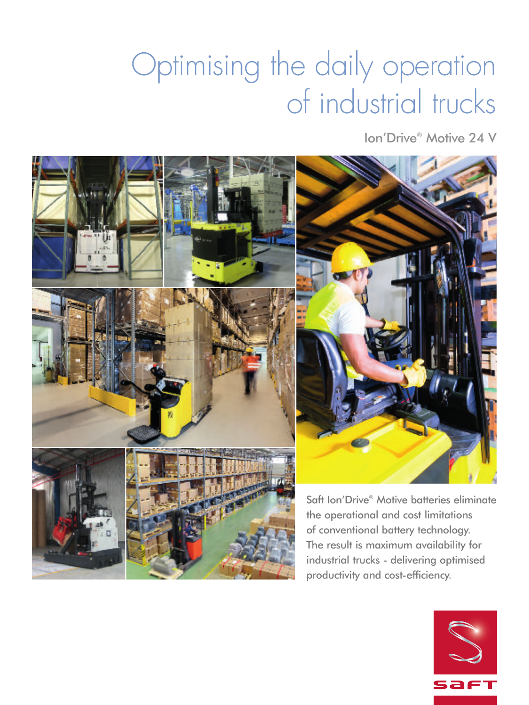# Optimising the daily operation of industrial trucks

Ion'Drive® Motive 24 V



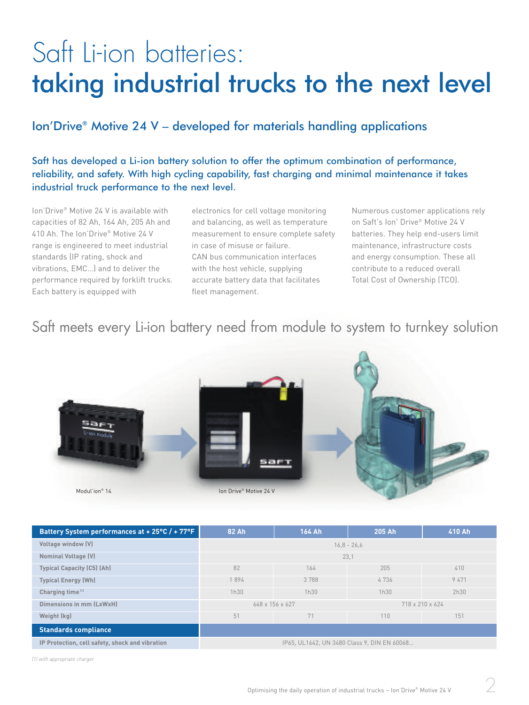## Saft Li-ion batteries: taking industrial trucks to the next level

### Ion'Drive® Motive 24 V – developed for materials handling applications

Saft has developed a Li-ion battery solution to offer the optimum combination of performance, reliability, and safety. With high cycling capability, fast charging and minimal maintenance it takes industrial truck performance to the next level.

Ion'Drive® Motive 24 V is available with capacities of 82 Ah, 164 Ah, 205 Ah and 410 Ah. The Ion'Drive® Motive 24 V range is engineered to meet industrial standards (IP rating, shock and vibrations, EMC…) and to deliver the performance required by forklift trucks. Each battery is equipped with

electronics for cell voltage monitoring and balancing, as well as temperature measurement to ensure complete safety in case of misuse or failure. CAN bus communication interfaces with the host vehicle, supplying accurate battery data that facilitates fleet management.

Numerous customer applications rely on Saft's Ion' Drive® Motive 24 V batteries. They help end-users limit maintenance, infrastructure costs and energy consumption. These all contribute to a reduced overall Total Cost of Ownership (TCO).

## Saft meets every Li-ion battery need from module to system to turnkey solution



| Battery System performances at + 25°C / + 77°F  | 82 Ah                                       | 164 Ah | 205 Ah          | 410 Ah |
|-------------------------------------------------|---------------------------------------------|--------|-----------------|--------|
| Voltage window (V)                              | $16,8 - 26,6$                               |        |                 |        |
| <b>Nominal Voltage (V)</b>                      | 23,1                                        |        |                 |        |
| <b>Typical Capacity (C5) (Ah)</b>               | 82                                          | 164    | 205             | 410    |
| <b>Typical Energy (Wh)</b>                      | 1894                                        | 3788   | 4736            | 9471   |
| Charging time <sup>[1]</sup>                    | 1h30                                        | 1h30   | 1h30            | 2h30   |
| Dimensions in mm (LxWxH)                        | 648 x 156 x 627                             |        | 718 x 210 x 624 |        |
| Weight (kg)                                     | 51                                          | 71     | 110             | 151    |
| <b>Standards compliance</b>                     |                                             |        |                 |        |
| IP Protection, cell safety, shock and vibration | IP65, UL1642, UN 3480 Class 9, DIN EN 60068 |        |                 |        |

*(1) with appropriate charger*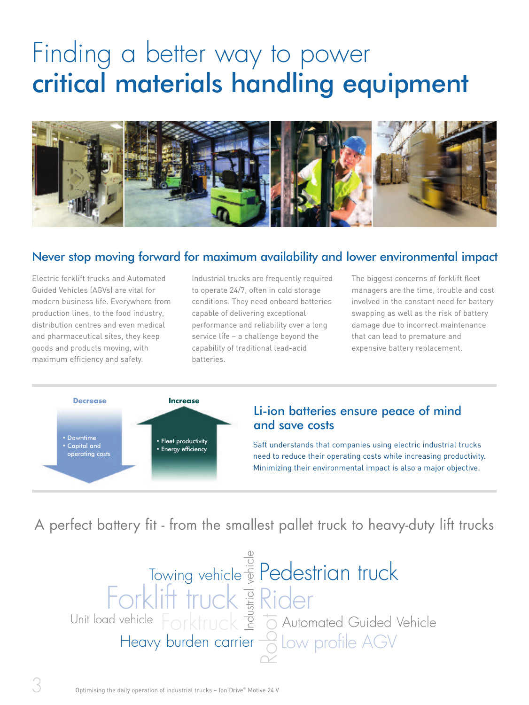## Finding a better way to power critical materials handling equipment



### Never stop moving forward for maximum availability and lower environmental impact

Electric forklift trucks and Automated Guided Vehicles (AGVs) are vital for modern business life. Everywhere from production lines, to the food industry, distribution centres and even medical and pharmaceutical sites, they keep goods and products moving, with maximum efficiency and safety.

Industrial trucks are frequently required to operate 24/7, often in cold storage conditions. They need onboard batteries capable of delivering exceptional performance and reliability over a long service life – a challenge beyond the capability of traditional lead-acid batteries.

The biggest concerns of forklift fleet managers are the time, trouble and cost involved in the constant need for battery swapping as well as the risk of battery damage due to incorrect maintenance that can lead to premature and expensive battery replacement.



### Li-ion batteries ensure peace of mind and save costs

Saft understands that companies using electric industrial trucks need to reduce their operating costs while increasing productivity. Minimizing their environmental impact is also a major objective.

A perfect battery fit - from the smallest pallet truck to heavy-duty lift trucks

Forklift truck Es Rider Pedestrian truck Heavy burden carrier Towing vehicle Automated Guided Vehicle  $\sim$ o  $\overline{\phantom{0}}$ of the Common<br>Forktruck = to ehicle Low profile AGV Unit load vehicle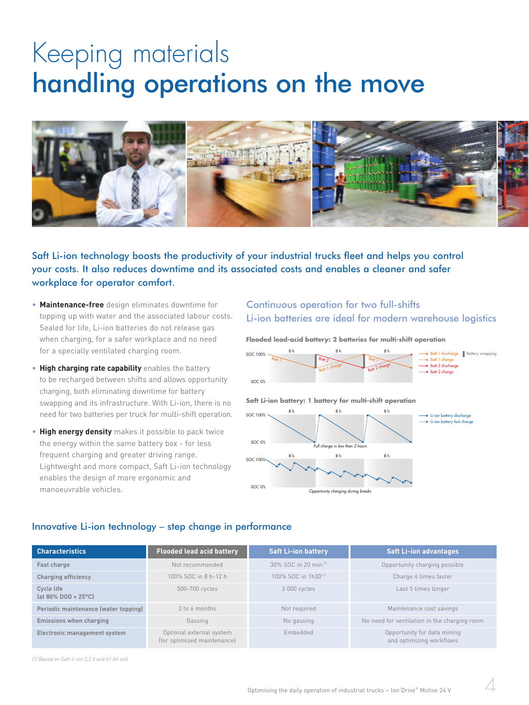## Keeping materials handling operations on the move



Saft Li-ion technology boosts the productivity of your industrial trucks fleet and helps you control your costs. It also reduces downtime and its associated costs and enables a cleaner and safer workplace for operator comfort.

- **Maintenance-free** design eliminates downtime for topping up with water and the associated labour costs. Sealed for life, Li-ion batteries do not release gas when charging, for a safer workplace and no need for a specially ventilated charging room.
- **High charging rate capability** enables the battery to be recharged between shifts and allows opportunity charging, both eliminating downtime for battery swapping and its infrastructure. With Li-ion, there is no need for two batteries per truck for multi-shift operation.
- **High energy density** makes it possible to pack twice the energy within the same battery box - for less frequent charging and greater driving range. Lightweight and more compact, Saft Li-ion technology enables the design of more ergonomic and manoeuvrable vehicles.

#### Continuous operation for two full-shifts Li-ion batteries are ideal for modern warehouse logistics





#### Innovative Li-ion technology – step change in performance

| <b>Characteristics</b>               | <b>Flooded lead acid battery</b>                        | <b>Saft Li-ion battery</b>       | <b>Saft Li-ion advantages</b>                           |
|--------------------------------------|---------------------------------------------------------|----------------------------------|---------------------------------------------------------|
| Fast charge                          | Not recommended                                         | 30% SOC in 20 min <sup>[1]</sup> | Opportunity charging possible                           |
| <b>Charging efficiency</b>           | 100% SOC in 8 h-12 h                                    | 100% SOC in 1h30 <sup>(1)</sup>  | Charge 4 times faster                                   |
| Cycle life<br>$[at 80\% DOD + 25°C]$ | 500-700 cycles                                          | 3 000 cycles                     | Last 5 times longer                                     |
| Periodic maintenance (water topping) | 3 to 6 months                                           | Not required                     | Maintenance cost savings                                |
| <b>Emissions when charging</b>       | Gassing                                                 | No gassing                       | No need for ventilation in the charging room            |
| Electronic management system         | Optional external system<br>(for optimized maintenance) | Embedded                         | Opportunity for data mining<br>and optimizing workflows |

*(1) Based on Saft li-ion 3,3 V and 41 Ah cell*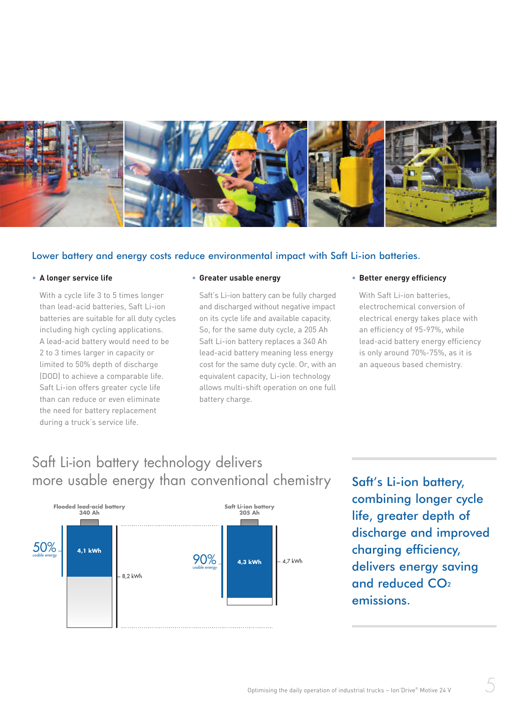

#### Lower battery and energy costs reduce environmental impact with Saft Li-ion batteries.

#### • **A longer service life**

With a cycle life 3 to 5 times longer than lead-acid batteries, Saft Li-ion batteries are suitable for all duty cycles including high cycling applications. A lead-acid battery would need to be 2 to 3 times larger in capacity or limited to 50% depth of discharge (DOD) to achieve a comparable life. Saft Li-ion offers greater cycle life than can reduce or even eliminate the need for battery replacement during a truck's service life.

#### • **Greater usable energy**

Saft's Li-ion battery can be fully charged and discharged without negative impact on its cycle life and available capacity. So, for the same duty cycle, a 205 Ah Saft Li-ion battery replaces a 340 Ah lead-acid battery meaning less energy cost for the same duty cycle. Or, with an equivalent capacity, Li-ion technology allows multi-shift operation on one full battery charge.

#### • **Better energy efficiency**

With Saft Li-ion batteries, electrochemical conversion of electrical energy takes place with an efficiency of 95-97%, while lead-acid battery energy efficiency is only around 70%-75%, as it is an aqueous based chemistry.

## Saft Li-ion battery technology delivers more usable energy than conventional chemistry



Saft's Li-ion battery, combining longer cycle life, greater depth of discharge and improved charging efficiency, delivers energy saving and reduced CO<sub>2</sub> emissions.